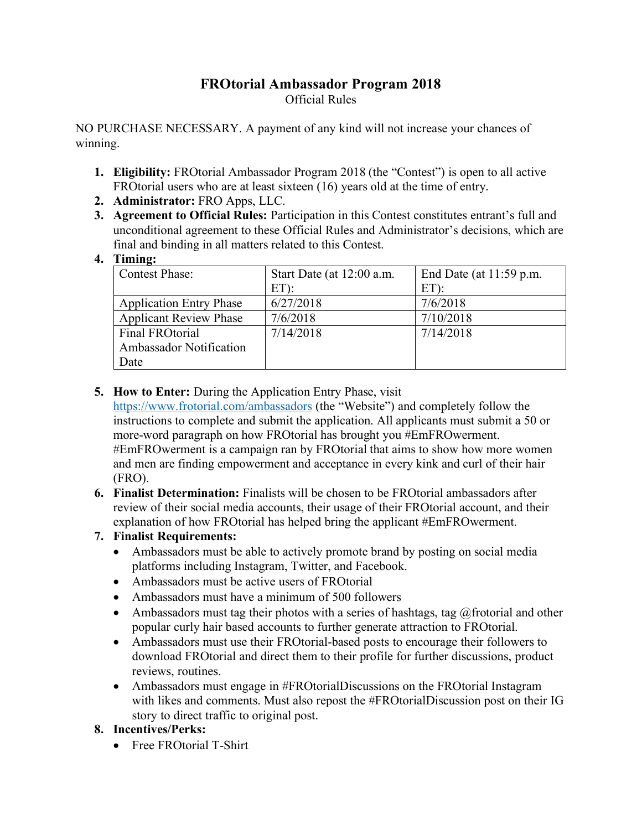## **FROtorial Ambassador Program 2018** Official Rules

NO PURCHASE NECESSARY. A payment of any kind will not increase your chances of winning.

- **1. Eligibility:** FROtorial Ambassador Program 2018 (the "Contest") is open to all active FROtorial users who are at least sixteen (16) years old at the time of entry.
- **2. Administrator:** FRO Apps, LLC.
- **3. Agreement to Official Rules:** Participation in this Contest constitutes entrant's full and unconditional agreement to these Official Rules and Administrator's decisions, which are final and binding in all matters related to this Contest.
- **4. Timing:**

| <b>Contest Phase:</b>          | Start Date (at 12:00 a.m. | End Date (at $11:59$ p.m. |
|--------------------------------|---------------------------|---------------------------|
|                                | $ET$ ):                   | $ET$ ):                   |
| <b>Application Entry Phase</b> | 6/27/2018                 | 7/6/2018                  |
| <b>Applicant Review Phase</b>  | 7/6/2018                  | 7/10/2018                 |
| Final FROtorial                | 7/14/2018                 | 7/14/2018                 |
| <b>Ambassador Notification</b> |                           |                           |
| Date                           |                           |                           |

## **5. How to Enter:** During the Application Entry Phase, visit

https://www.frotorial.com/ambassadors (the "Website") and completely follow the instructions to complete and submit the application. All applicants must submit a 50 or more-word paragraph on how FROtorial has brought you #EmFROwerment. #EmFROwerment is a campaign ran by FROtorial that aims to show how more women and men are finding empowerment and acceptance in every kink and curl of their hair (FRO).

**6. Finalist Determination:** Finalists will be chosen to be FROtorial ambassadors after review of their social media accounts, their usage of their FROtorial account, and their explanation of how FROtorial has helped bring the applicant #EmFROwerment.

## **7. Finalist Requirements:**

- Ambassadors must be able to actively promote brand by posting on social media platforms including Instagram, Twitter, and Facebook.
- Ambassadors must be active users of FROtorial
- Ambassadors must have a minimum of 500 followers
- Ambassadors must tag their photos with a series of hashtags, tag  $@$  frotorial and other popular curly hair based accounts to further generate attraction to FROtorial.
- Ambassadors must use their FROtorial-based posts to encourage their followers to download FROtorial and direct them to their profile for further discussions, product reviews, routines.
- Ambassadors must engage in #FROtorialDiscussions on the FROtorial Instagram with likes and comments. Must also repost the #FROtorialDiscussion post on their IG story to direct traffic to original post.

## **8. Incentives/Perks:**

• Free FROtorial T-Shirt